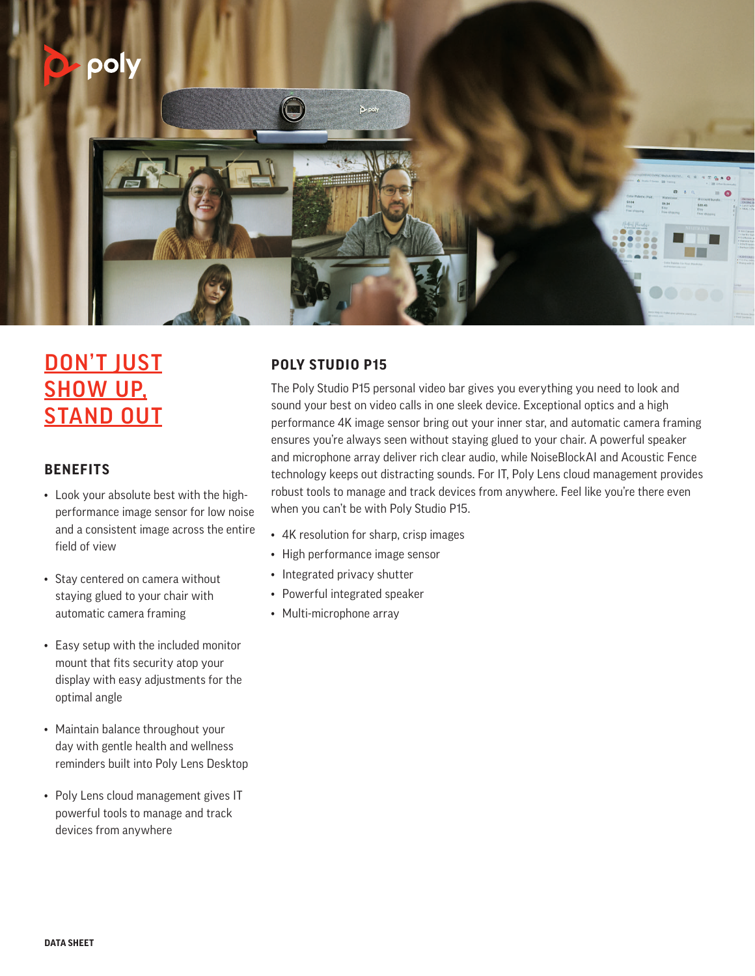

# DON'T JUST **SHOW UP. STAND OUT**

### **BENEFITS**

- Look your absolute best with the highperformance image sensor for low noise and a consistent image across the entire field of view
- Stay centered on camera without staying glued to your chair with automatic camera framing
- Easy setup with the included monitor mount that fits security atop your display with easy adjustments for the optimal angle
- Maintain balance throughout your day with gentle health and wellness reminders built into Poly Lens Desktop
- Poly Lens cloud management gives IT powerful tools to manage and track devices from anywhere

## **POLY STUDIO P15**

The Poly Studio P15 personal video bar gives you everything you need to look and sound your best on video calls in one sleek device. Exceptional optics and a high performance 4K image sensor bring out your inner star, and automatic camera framing ensures you're always seen without staying glued to your chair. A powerful speaker and microphone array deliver rich clear audio, while NoiseBlockAI and Acoustic Fence technology keeps out distracting sounds. For IT, Poly Lens cloud management provides robust tools to manage and track devices from anywhere. Feel like you're there even when you can't be with Poly Studio P15.

- 4K resolution for sharp, crisp images
- High performance image sensor
- Integrated privacy shutter
- Powerful integrated speaker
- Multi-microphone array